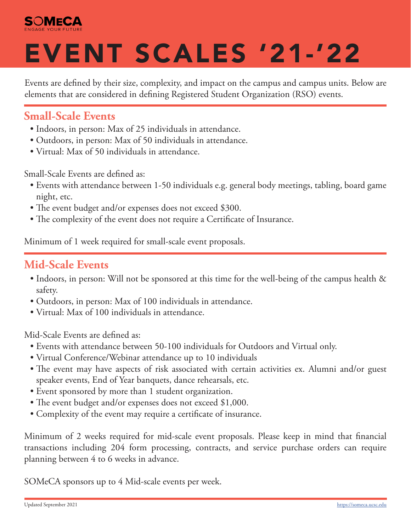

# EVENT SCALES '21-'22

Events are defined by their size, complexity, and impact on the campus and campus units. Below are elements that are considered in defining Registered Student Organization (RSO) events.

#### **Small-Scale Events**

- Indoors, in person: Max of 25 individuals in attendance.
- Outdoors, in person: Max of 50 individuals in attendance.
- Virtual: Max of 50 individuals in attendance.

Small-Scale Events are defined as:

- Events with attendance between 1-50 individuals e.g. general body meetings, tabling, board game night, etc.
- The event budget and/or expenses does not exceed \$300.
- The complexity of the event does not require a Certificate of Insurance.

Minimum of 1 week required for small-scale event proposals.

#### **Mid-Scale Events**

- Indoors, in person: Will not be sponsored at this time for the well-being of the campus health & safety.
- Outdoors, in person: Max of 100 individuals in attendance.
- Virtual: Max of 100 individuals in attendance.

Mid-Scale Events are defined as:

- Events with attendance between 50-100 individuals for Outdoors and Virtual only.
- Virtual Conference/Webinar attendance up to 10 individuals
- The event may have aspects of risk associated with certain activities ex. Alumni and/or guest speaker events, End of Year banquets, dance rehearsals, etc.
- Event sponsored by more than 1 student organization.
- The event budget and/or expenses does not exceed \$1,000.
- Complexity of the event may require a certificate of insurance.

Minimum of 2 weeks required for mid-scale event proposals. Please keep in mind that financial transactions including 204 form processing, contracts, and service purchase orders can require planning between 4 to 6 weeks in advance.

SOMeCA sponsors up to 4 Mid-scale events per week.